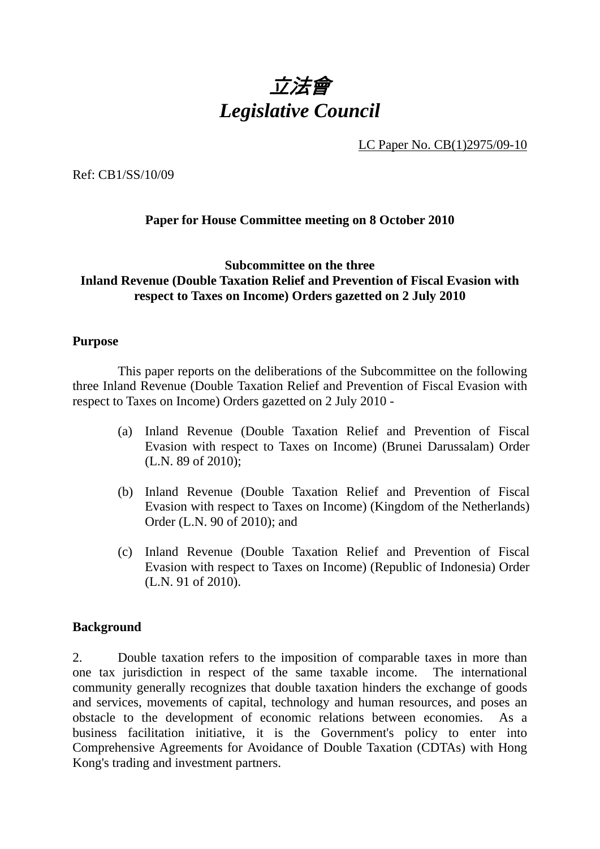

LC Paper No. CB(1)2975/09-10

Ref: CB1/SS/10/09

## **Paper for House Committee meeting on 8 October 2010**

#### **Subcommittee on the three Inland Revenue (Double Taxation Relief and Prevention of Fiscal Evasion with respect to Taxes on Income) Orders gazetted on 2 July 2010**

#### **Purpose**

 This paper reports on the deliberations of the Subcommittee on the following three Inland Revenue (Double Taxation Relief and Prevention of Fiscal Evasion with respect to Taxes on Income) Orders gazetted on 2 July 2010 -

- (a) Inland Revenue (Double Taxation Relief and Prevention of Fiscal Evasion with respect to Taxes on Income) (Brunei Darussalam) Order (L.N. 89 of 2010);
- (b) Inland Revenue (Double Taxation Relief and Prevention of Fiscal Evasion with respect to Taxes on Income) (Kingdom of the Netherlands) Order (L.N. 90 of 2010); and
- (c) Inland Revenue (Double Taxation Relief and Prevention of Fiscal Evasion with respect to Taxes on Income) (Republic of Indonesia) Order (L.N. 91 of 2010).

#### **Background**

2. Double taxation refers to the imposition of comparable taxes in more than one tax jurisdiction in respect of the same taxable income. The international community generally recognizes that double taxation hinders the exchange of goods and services, movements of capital, technology and human resources, and poses an obstacle to the development of economic relations between economies. As a business facilitation initiative, it is the Government's policy to enter into Comprehensive Agreements for Avoidance of Double Taxation (CDTAs) with Hong Kong's trading and investment partners.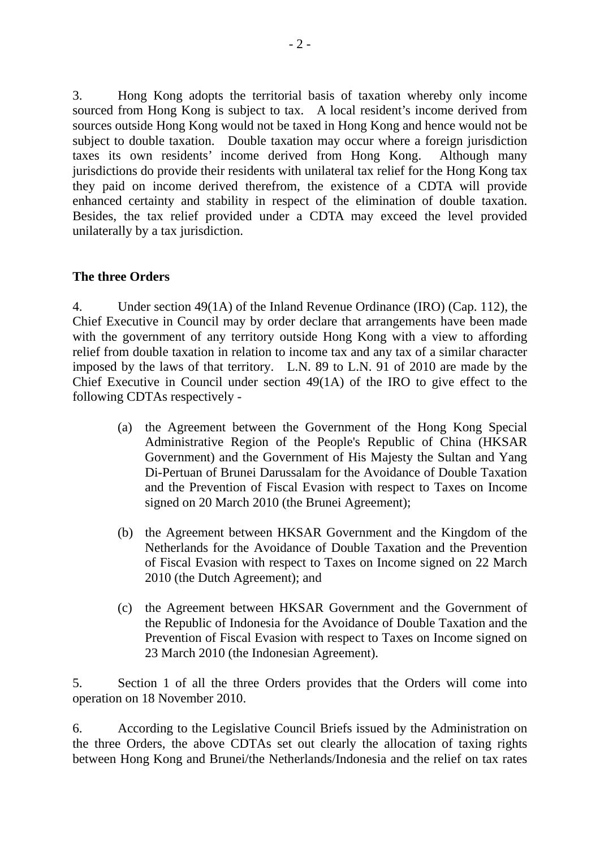3. Hong Kong adopts the territorial basis of taxation whereby only income sourced from Hong Kong is subject to tax. A local resident's income derived from sources outside Hong Kong would not be taxed in Hong Kong and hence would not be subject to double taxation. Double taxation may occur where a foreign jurisdiction taxes its own residents' income derived from Hong Kong. Although many jurisdictions do provide their residents with unilateral tax relief for the Hong Kong tax they paid on income derived therefrom, the existence of a CDTA will provide enhanced certainty and stability in respect of the elimination of double taxation. Besides, the tax relief provided under a CDTA may exceed the level provided unilaterally by a tax jurisdiction.

#### **The three Orders**

4. Under section 49(1A) of the Inland Revenue Ordinance (IRO) (Cap. 112), the Chief Executive in Council may by order declare that arrangements have been made with the government of any territory outside Hong Kong with a view to affording relief from double taxation in relation to income tax and any tax of a similar character imposed by the laws of that territory. L.N. 89 to L.N. 91 of 2010 are made by the Chief Executive in Council under section 49(1A) of the IRO to give effect to the following CDTAs respectively -

- (a) the Agreement between the Government of the Hong Kong Special Administrative Region of the People's Republic of China (HKSAR Government) and the Government of His Majesty the Sultan and Yang Di-Pertuan of Brunei Darussalam for the Avoidance of Double Taxation and the Prevention of Fiscal Evasion with respect to Taxes on Income signed on 20 March 2010 (the Brunei Agreement);
- (b) the Agreement between HKSAR Government and the Kingdom of the Netherlands for the Avoidance of Double Taxation and the Prevention of Fiscal Evasion with respect to Taxes on Income signed on 22 March 2010 (the Dutch Agreement); and
- (c) the Agreement between HKSAR Government and the Government of the Republic of Indonesia for the Avoidance of Double Taxation and the Prevention of Fiscal Evasion with respect to Taxes on Income signed on 23 March 2010 (the Indonesian Agreement).

5. Section 1 of all the three Orders provides that the Orders will come into operation on 18 November 2010.

6. According to the Legislative Council Briefs issued by the Administration on the three Orders, the above CDTAs set out clearly the allocation of taxing rights between Hong Kong and Brunei/the Netherlands/Indonesia and the relief on tax rates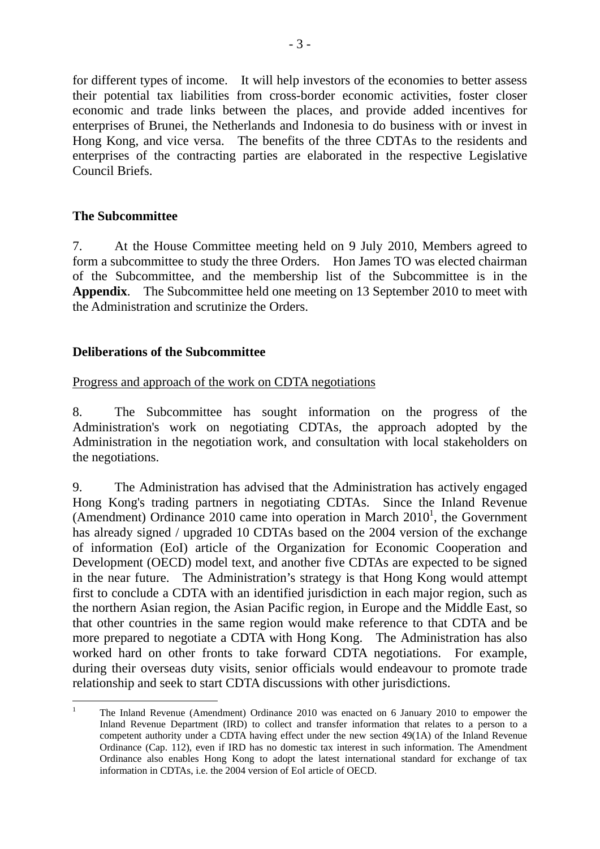for different types of income. It will help investors of the economies to better assess their potential tax liabilities from cross-border economic activities, foster closer economic and trade links between the places, and provide added incentives for enterprises of Brunei, the Netherlands and Indonesia to do business with or invest in Hong Kong, and vice versa. The benefits of the three CDTAs to the residents and enterprises of the contracting parties are elaborated in the respective Legislative Council Briefs.

## **The Subcommittee**

7. At the House Committee meeting held on 9 July 2010, Members agreed to form a subcommittee to study the three Orders. Hon James TO was elected chairman of the Subcommittee, and the membership list of the Subcommittee is in the **Appendix**. The Subcommittee held one meeting on 13 September 2010 to meet with the Administration and scrutinize the Orders.

## **Deliberations of the Subcommittee**

## Progress and approach of the work on CDTA negotiations

8. The Subcommittee has sought information on the progress of the Administration's work on negotiating CDTAs, the approach adopted by the Administration in the negotiation work, and consultation with local stakeholders on the negotiations.

9. The Administration has advised that the Administration has actively engaged Hong Kong's trading partners in negotiating CDTAs. Since the Inland Revenue (Amendment) Ordinance 2010 came into operation in March  $2010<sup>1</sup>$ , the Government has already signed / upgraded 10 CDTAs based on the 2004 version of the exchange of information (EoI) article of the Organization for Economic Cooperation and Development (OECD) model text, and another five CDTAs are expected to be signed in the near future. The Administration's strategy is that Hong Kong would attempt first to conclude a CDTA with an identified jurisdiction in each major region, such as the northern Asian region, the Asian Pacific region, in Europe and the Middle East, so that other countries in the same region would make reference to that CDTA and be more prepared to negotiate a CDTA with Hong Kong. The Administration has also worked hard on other fronts to take forward CDTA negotiations. For example, during their overseas duty visits, senior officials would endeavour to promote trade relationship and seek to start CDTA discussions with other jurisdictions.

 $\frac{1}{1}$  The Inland Revenue (Amendment) Ordinance 2010 was enacted on 6 January 2010 to empower the Inland Revenue Department (IRD) to collect and transfer information that relates to a person to a competent authority under a CDTA having effect under the new section 49(1A) of the Inland Revenue Ordinance (Cap. 112), even if IRD has no domestic tax interest in such information. The Amendment Ordinance also enables Hong Kong to adopt the latest international standard for exchange of tax information in CDTAs, i.e. the 2004 version of EoI article of OECD.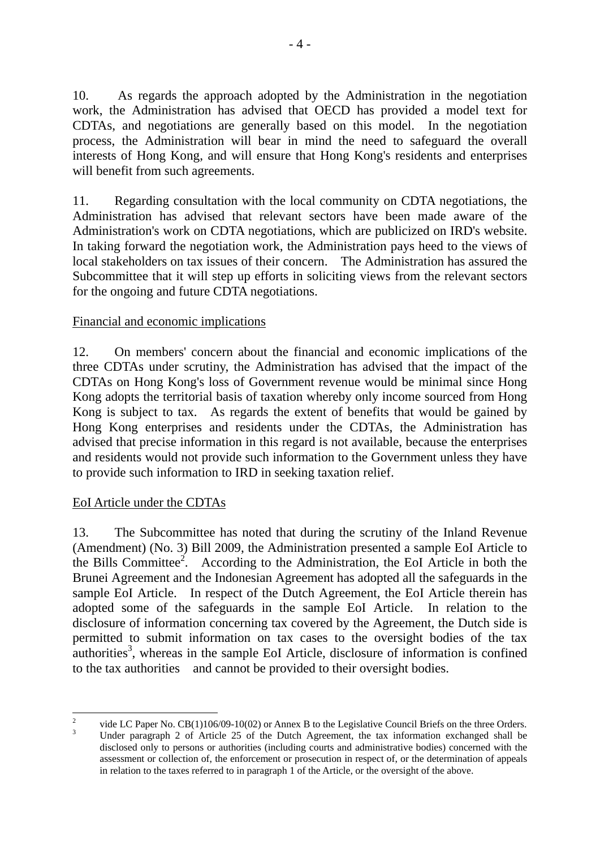10. As regards the approach adopted by the Administration in the negotiation work, the Administration has advised that OECD has provided a model text for CDTAs, and negotiations are generally based on this model. In the negotiation process, the Administration will bear in mind the need to safeguard the overall interests of Hong Kong, and will ensure that Hong Kong's residents and enterprises will benefit from such agreements.

11. Regarding consultation with the local community on CDTA negotiations, the Administration has advised that relevant sectors have been made aware of the Administration's work on CDTA negotiations, which are publicized on IRD's website. In taking forward the negotiation work, the Administration pays heed to the views of local stakeholders on tax issues of their concern. The Administration has assured the Subcommittee that it will step up efforts in soliciting views from the relevant sectors for the ongoing and future CDTA negotiations.

# Financial and economic implications

12. On members' concern about the financial and economic implications of the three CDTAs under scrutiny, the Administration has advised that the impact of the CDTAs on Hong Kong's loss of Government revenue would be minimal since Hong Kong adopts the territorial basis of taxation whereby only income sourced from Hong Kong is subject to tax. As regards the extent of benefits that would be gained by Hong Kong enterprises and residents under the CDTAs, the Administration has advised that precise information in this regard is not available, because the enterprises and residents would not provide such information to the Government unless they have to provide such information to IRD in seeking taxation relief.

## EoI Article under the CDTAs

13. The Subcommittee has noted that during the scrutiny of the Inland Revenue (Amendment) (No. 3) Bill 2009, the Administration presented a sample EoI Article to the Bills Committee<sup>2</sup>. According to the Administration, the EoI Article in both the Brunei Agreement and the Indonesian Agreement has adopted all the safeguards in the sample EoI Article. In respect of the Dutch Agreement, the EoI Article therein has adopted some of the safeguards in the sample EoI Article. In relation to the disclosure of information concerning tax covered by the Agreement, the Dutch side is permitted to submit information on tax cases to the oversight bodies of the tax  $a$ uthorities<sup>3</sup>, whereas in the sample EoI Article, disclosure of information is confined to the tax authorities and cannot be provided to their oversight bodies.

 $\frac{1}{2}$  vide LC Paper No. CB(1)106/09-10(02) or Annex B to the Legislative Council Briefs on the three Orders. 3 Under paragraph 2 of Article 25 of the Dutch Agreement, the tax information exchanged shall be disclosed only to persons or authorities (including courts and administrative bodies) concerned with the assessment or collection of, the enforcement or prosecution in respect of, or the determination of appeals in relation to the taxes referred to in paragraph 1 of the Article, or the oversight of the above.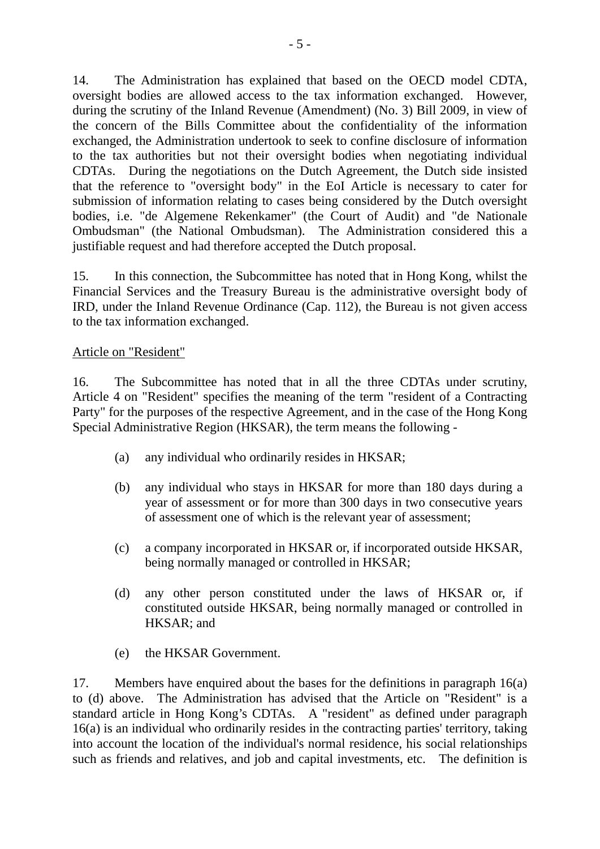14. The Administration has explained that based on the OECD model CDTA, oversight bodies are allowed access to the tax information exchanged. However, during the scrutiny of the Inland Revenue (Amendment) (No. 3) Bill 2009, in view of the concern of the Bills Committee about the confidentiality of the information exchanged, the Administration undertook to seek to confine disclosure of information to the tax authorities but not their oversight bodies when negotiating individual CDTAs. During the negotiations on the Dutch Agreement, the Dutch side insisted that the reference to "oversight body" in the EoI Article is necessary to cater for submission of information relating to cases being considered by the Dutch oversight bodies, i.e. "de Algemene Rekenkamer" (the Court of Audit) and "de Nationale Ombudsman" (the National Ombudsman). The Administration considered this a justifiable request and had therefore accepted the Dutch proposal.

15. In this connection, the Subcommittee has noted that in Hong Kong, whilst the Financial Services and the Treasury Bureau is the administrative oversight body of IRD, under the Inland Revenue Ordinance (Cap. 112), the Bureau is not given access to the tax information exchanged.

#### Article on "Resident"

16. The Subcommittee has noted that in all the three CDTAs under scrutiny, Article 4 on "Resident" specifies the meaning of the term "resident of a Contracting Party" for the purposes of the respective Agreement, and in the case of the Hong Kong Special Administrative Region (HKSAR), the term means the following -

- (a) any individual who ordinarily resides in HKSAR;
- (b) any individual who stays in HKSAR for more than 180 days during a year of assessment or for more than 300 days in two consecutive years of assessment one of which is the relevant year of assessment;
- (c) a company incorporated in HKSAR or, if incorporated outside HKSAR, being normally managed or controlled in HKSAR;
- (d) any other person constituted under the laws of HKSAR or, if constituted outside HKSAR, being normally managed or controlled in HKSAR; and
- (e) the HKSAR Government.

17. Members have enquired about the bases for the definitions in paragraph 16(a) to (d) above. The Administration has advised that the Article on "Resident" is a standard article in Hong Kong's CDTAs. A "resident" as defined under paragraph 16(a) is an individual who ordinarily resides in the contracting parties' territory, taking into account the location of the individual's normal residence, his social relationships such as friends and relatives, and job and capital investments, etc. The definition is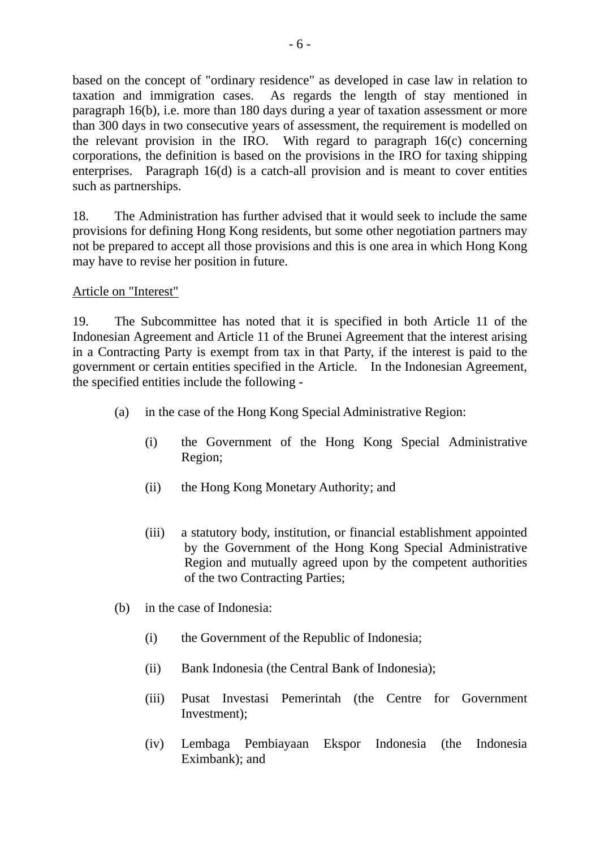based on the concept of "ordinary residence" as developed in case law in relation to taxation and immigration cases. As regards the length of stay mentioned in paragraph 16(b), i.e. more than 180 days during a year of taxation assessment or more than 300 days in two consecutive years of assessment, the requirement is modelled on the relevant provision in the IRO. With regard to paragraph 16(c) concerning corporations, the definition is based on the provisions in the IRO for taxing shipping enterprises. Paragraph 16(d) is a catch-all provision and is meant to cover entities such as partnerships.

18. The Administration has further advised that it would seek to include the same provisions for defining Hong Kong residents, but some other negotiation partners may not be prepared to accept all those provisions and this is one area in which Hong Kong may have to revise her position in future.

## Article on "Interest"

19. The Subcommittee has noted that it is specified in both Article 11 of the Indonesian Agreement and Article 11 of the Brunei Agreement that the interest arising in a Contracting Party is exempt from tax in that Party, if the interest is paid to the government or certain entities specified in the Article. In the Indonesian Agreement, the specified entities include the following -

- (a) in the case of the Hong Kong Special Administrative Region:
	- (i) the Government of the Hong Kong Special Administrative Region;
	- (ii) the Hong Kong Monetary Authority; and
	- (iii) a statutory body, institution, or financial establishment appointed by the Government of the Hong Kong Special Administrative Region and mutually agreed upon by the competent authorities of the two Contracting Parties;
- (b) in the case of Indonesia:
	- (i) the Government of the Republic of Indonesia;
	- (ii) Bank Indonesia (the Central Bank of Indonesia);
	- (iii) Pusat Investasi Pemerintah (the Centre for Government Investment);
	- (iv) Lembaga Pembiayaan Ekspor Indonesia (the Indonesia Eximbank); and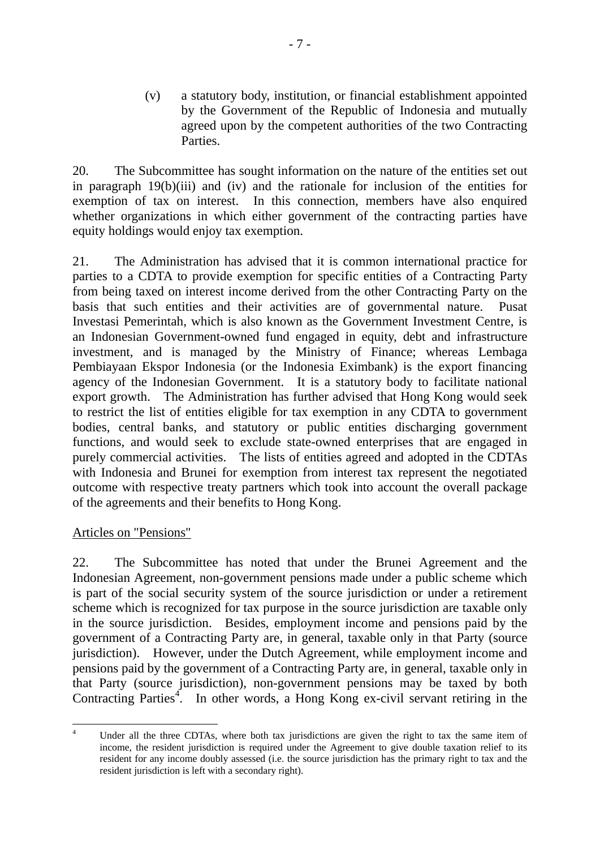(v) a statutory body, institution, or financial establishment appointed by the Government of the Republic of Indonesia and mutually agreed upon by the competent authorities of the two Contracting Parties.

20. The Subcommittee has sought information on the nature of the entities set out in paragraph 19(b)(iii) and (iv) and the rationale for inclusion of the entities for exemption of tax on interest. In this connection, members have also enquired whether organizations in which either government of the contracting parties have equity holdings would enjoy tax exemption.

21. The Administration has advised that it is common international practice for parties to a CDTA to provide exemption for specific entities of a Contracting Party from being taxed on interest income derived from the other Contracting Party on the basis that such entities and their activities are of governmental nature. Pusat Investasi Pemerintah, which is also known as the Government Investment Centre, is an Indonesian Government-owned fund engaged in equity, debt and infrastructure investment, and is managed by the Ministry of Finance; whereas Lembaga Pembiayaan Ekspor Indonesia (or the Indonesia Eximbank) is the export financing agency of the Indonesian Government. It is a statutory body to facilitate national export growth. The Administration has further advised that Hong Kong would seek to restrict the list of entities eligible for tax exemption in any CDTA to government bodies, central banks, and statutory or public entities discharging government functions, and would seek to exclude state-owned enterprises that are engaged in purely commercial activities. The lists of entities agreed and adopted in the CDTAs with Indonesia and Brunei for exemption from interest tax represent the negotiated outcome with respective treaty partners which took into account the overall package of the agreements and their benefits to Hong Kong.

## Articles on "Pensions"

22. The Subcommittee has noted that under the Brunei Agreement and the Indonesian Agreement, non-government pensions made under a public scheme which is part of the social security system of the source jurisdiction or under a retirement scheme which is recognized for tax purpose in the source jurisdiction are taxable only in the source jurisdiction. Besides, employment income and pensions paid by the government of a Contracting Party are, in general, taxable only in that Party (source jurisdiction). However, under the Dutch Agreement, while employment income and pensions paid by the government of a Contracting Party are, in general, taxable only in that Party (source jurisdiction), non-government pensions may be taxed by both Contracting Parties<sup>4</sup>. In other words, a Hong Kong ex-civil servant retiring in the

 $\frac{1}{4}$  Under all the three CDTAs, where both tax jurisdictions are given the right to tax the same item of income, the resident jurisdiction is required under the Agreement to give double taxation relief to its resident for any income doubly assessed (i.e. the source jurisdiction has the primary right to tax and the resident jurisdiction is left with a secondary right).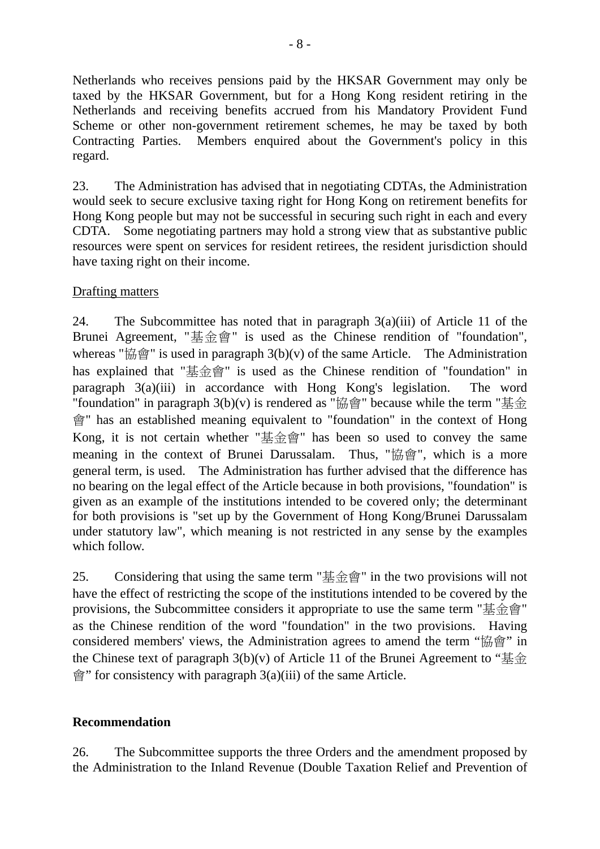Netherlands who receives pensions paid by the HKSAR Government may only be taxed by the HKSAR Government, but for a Hong Kong resident retiring in the Netherlands and receiving benefits accrued from his Mandatory Provident Fund Scheme or other non-government retirement schemes, he may be taxed by both Contracting Parties. Members enquired about the Government's policy in this regard.

23. The Administration has advised that in negotiating CDTAs, the Administration would seek to secure exclusive taxing right for Hong Kong on retirement benefits for Hong Kong people but may not be successful in securing such right in each and every CDTA. Some negotiating partners may hold a strong view that as substantive public resources were spent on services for resident retirees, the resident jurisdiction should have taxing right on their income.

# Drafting matters

24. The Subcommittee has noted that in paragraph 3(a)(iii) of Article 11 of the Brunei Agreement, "基金會" is used as the Chinese rendition of "foundation", whereas " $\hat{m}$   $\hat{m}$ " is used in paragraph 3(b)(v) of the same Article. The Administration has explained that "基金會" is used as the Chinese rendition of "foundation" in paragraph 3(a)(iii) in accordance with Hong Kong's legislation. The word "foundation" in paragraph  $3(b)(v)$  is rendered as "協會" because while the term "基金 會" has an established meaning equivalent to "foundation" in the context of Hong Kong, it is not certain whether "基金會" has been so used to convey the same meaning in the context of Brunei Darussalam. Thus, "協會", which is a more general term, is used. The Administration has further advised that the difference has no bearing on the legal effect of the Article because in both provisions, "foundation" is given as an example of the institutions intended to be covered only; the determinant for both provisions is "set up by the Government of Hong Kong/Brunei Darussalam under statutory law", which meaning is not restricted in any sense by the examples which follow.

25. Considering that using the same term "基金會" in the two provisions will not have the effect of restricting the scope of the institutions intended to be covered by the provisions, the Subcommittee considers it appropriate to use the same term "基金會" as the Chinese rendition of the word "foundation" in the two provisions. Having considered members' views, the Administration agrees to amend the term "協會" in the Chinese text of paragraph  $3(b)(v)$  of Article 11 of the Brunei Agreement to " $\frac{1}{b}$ "  $\hat{p}$ " for consistency with paragraph 3(a)(iii) of the same Article.

## **Recommendation**

26. The Subcommittee supports the three Orders and the amendment proposed by the Administration to the Inland Revenue (Double Taxation Relief and Prevention of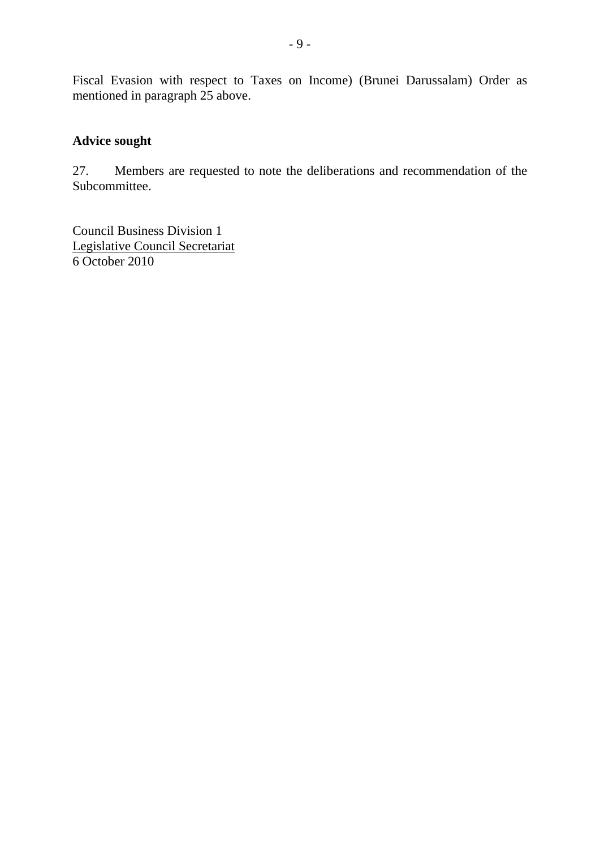Fiscal Evasion with respect to Taxes on Income) (Brunei Darussalam) Order as mentioned in paragraph 25 above.

# **Advice sought**

27. Members are requested to note the deliberations and recommendation of the Subcommittee.

Council Business Division 1 Legislative Council Secretariat 6 October 2010